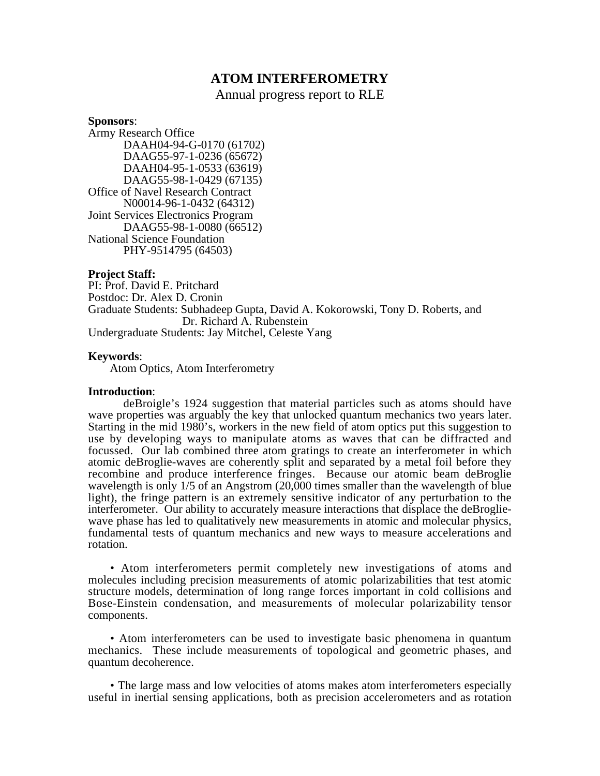# **ATOM INTERFEROMETRY**

Annual progress report to RLE

**Sponsors**:

Army Research Office DAAH04-94-G-0170 (61702) DAAG55-97-1-0236 (65672) DAAH04-95-1-0533 (63619) DAAG55-98-1-0429 (67135) Office of Navel Research Contract N00014-96-1-0432 (64312) Joint Services Electronics Program DAAG55-98-1-0080 (66512) National Science Foundation PHY-9514795 (64503)

# **Project Staff:**

PI: Prof. David E. Pritchard Postdoc: Dr. Alex D. Cronin Graduate Students: Subhadeep Gupta, David A. Kokorowski, Tony D. Roberts, and Dr. Richard A. Rubenstein Undergraduate Students: Jay Mitchel, Celeste Yang

# **Keywords**:

Atom Optics, Atom Interferometry

## **Introduction**:

deBroigle's 1924 suggestion that material particles such as atoms should have wave properties was arguably the key that unlocked quantum mechanics two years later. Starting in the mid 1980's, workers in the new field of atom optics put this suggestion to use by developing ways to manipulate atoms as waves that can be diffracted and focussed. Our lab combined three atom gratings to create an interferometer in which atomic deBroglie-waves are coherently split and separated by a metal foil before they recombine and produce interference fringes. Because our atomic beam deBroglie wavelength is only 1/5 of an Angstrom (20,000 times smaller than the wavelength of blue light), the fringe pattern is an extremely sensitive indicator of any perturbation to the interferometer. Our ability to accurately measure interactions that displace the deBrogliewave phase has led to qualitatively new measurements in atomic and molecular physics, fundamental tests of quantum mechanics and new ways to measure accelerations and rotation.

• Atom interferometers permit completely new investigations of atoms and molecules including precision measurements of atomic polarizabilities that test atomic structure models, determination of long range forces important in cold collisions and Bose-Einstein condensation, and measurements of molecular polarizability tensor components.

• Atom interferometers can be used to investigate basic phenomena in quantum mechanics. These include measurements of topological and geometric phases, and quantum decoherence.

• The large mass and low velocities of atoms makes atom interferometers especially useful in inertial sensing applications, both as precision accelerometers and as rotation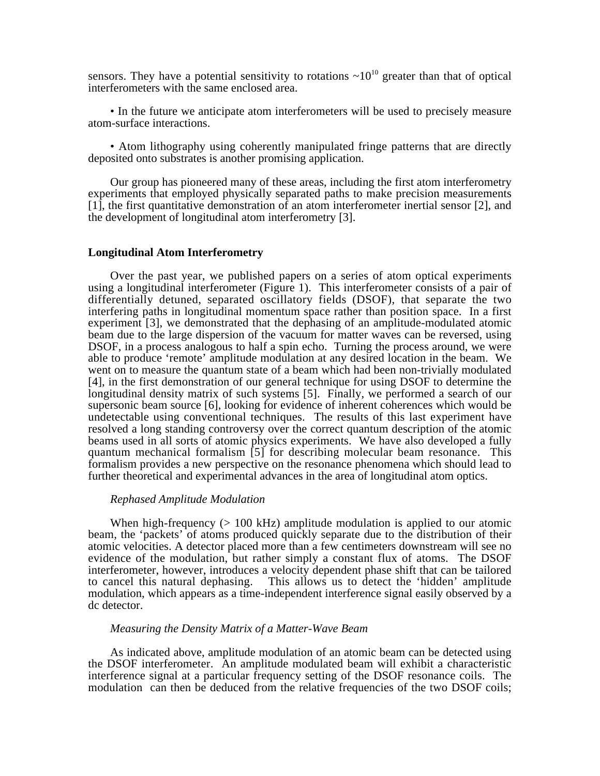sensors. They have a potential sensitivity to rotations  $\sim 10^{10}$  greater than that of optical interferometers with the same enclosed area.

• In the future we anticipate atom interferometers will be used to precisely measure atom-surface interactions.

• Atom lithography using coherently manipulated fringe patterns that are directly deposited onto substrates is another promising application.

Our group has pioneered many of these areas, including the first atom interferometry experiments that employed physically separated paths to make precision measurements [1], the first quantitative demonstration of an atom interferometer inertial sensor [2], and the development of longitudinal atom interferometry [3].

# **Longitudinal Atom Interferometry**

Over the past year, we published papers on a series of atom optical experiments using a longitudinal interferometer (Figure 1). This interferometer consists of a pair of differentially detuned, separated oscillatory fields (DSOF), that separate the two interfering paths in longitudinal momentum space rather than position space. In a first experiment [3], we demonstrated that the dephasing of an amplitude-modulated atomic beam due to the large dispersion of the vacuum for matter waves can be reversed, using DSOF, in a process analogous to half a spin echo. Turning the process around, we were able to produce 'remote' amplitude modulation at any desired location in the beam. We went on to measure the quantum state of a beam which had been non-trivially modulated [4], in the first demonstration of our general technique for using DSOF to determine the longitudinal density matrix of such systems [5]. Finally, we performed a search of our supersonic beam source [6], looking for evidence of inherent coherences which would be undetectable using conventional techniques. The results of this last experiment have resolved a long standing controversy over the correct quantum description of the atomic beams used in all sorts of atomic physics experiments. We have also developed a fully quantum mechanical formalism [5] for describing molecular beam resonance. This formalism provides a new perspective on the resonance phenomena which should lead to further theoretical and experimental advances in the area of longitudinal atom optics.

#### *Rephased Amplitude Modulation*

When high-frequency  $(> 100 \text{ kHz})$  amplitude modulation is applied to our atomic beam, the 'packets' of atoms produced quickly separate due to the distribution of their atomic velocities. A detector placed more than a few centimeters downstream will see no evidence of the modulation, but rather simply a constant flux of atoms. The DSOF interferometer, however, introduces a velocity dependent phase shift that can be tailored to cancel this natural dephasing. This allows us to detect the 'hidden' amplitude modulation, which appears as a time-independent interference signal easily observed by a dc detector.

#### *Measuring the Density Matrix of a Matter-Wave Beam*

As indicated above, amplitude modulation of an atomic beam can be detected using the DSOF interferometer. An amplitude modulated beam will exhibit a characteristic interference signal at a particular frequency setting of the DSOF resonance coils. The modulation can then be deduced from the relative frequencies of the two DSOF coils;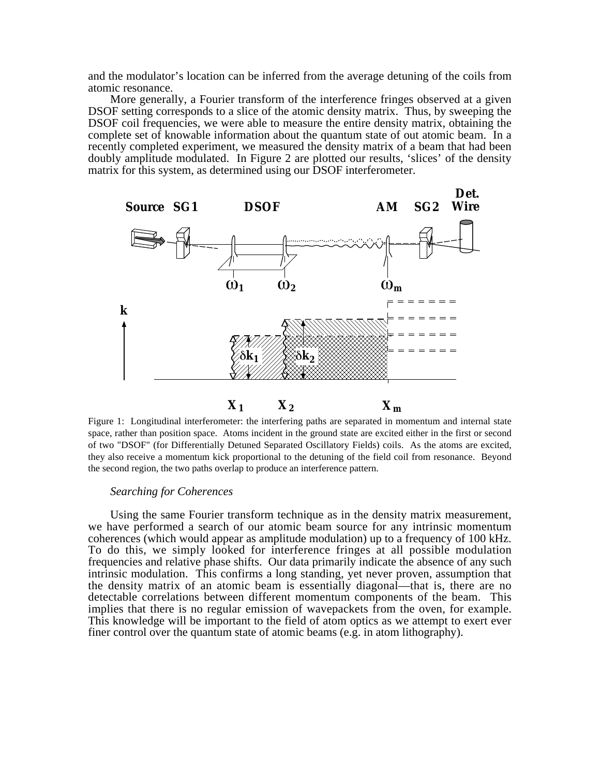and the modulator's location can be inferred from the average detuning of the coils from atomic resonance.

More generally, a Fourier transform of the interference fringes observed at a given DSOF setting corresponds to a slice of the atomic density matrix. Thus, by sweeping the DSOF coil frequencies, we were able to measure the entire density matrix, obtaining the complete set of knowable information about the quantum state of out atomic beam. In a recently completed experiment, we measured the density matrix of a beam that had been doubly amplitude modulated. In Figure 2 are plotted our results, 'slices' of the density matrix for this system, as determined using our DSOF interferometer.



Figure 1: Longitudinal interferometer: the interfering paths are separated in momentum and internal state space, rather than position space. Atoms incident in the ground state are excited either in the first or second of two "DSOF" (for Differentially Detuned Separated Oscillatory Fields) coils. As the atoms are excited, they also receive a momentum kick proportional to the detuning of the field coil from resonance. Beyond the second region, the two paths overlap to produce an interference pattern.

#### *Searching for Coherences*

Using the same Fourier transform technique as in the density matrix measurement, we have performed a search of our atomic beam source for any intrinsic momentum coherences (which would appear as amplitude modulation) up to a frequency of 100 kHz. To do this, we simply looked for interference fringes at all possible modulation frequencies and relative phase shifts. Our data primarily indicate the absence of any such intrinsic modulation. This confirms a long standing, yet never proven, assumption that the density matrix of an atomic beam is essentially diagonal—that is, there are no detectable correlations between different momentum components of the beam. This implies that there is no regular emission of wavepackets from the oven, for example. This knowledge will be important to the field of atom optics as we attempt to exert ever finer control over the quantum state of atomic beams (e.g. in atom lithography).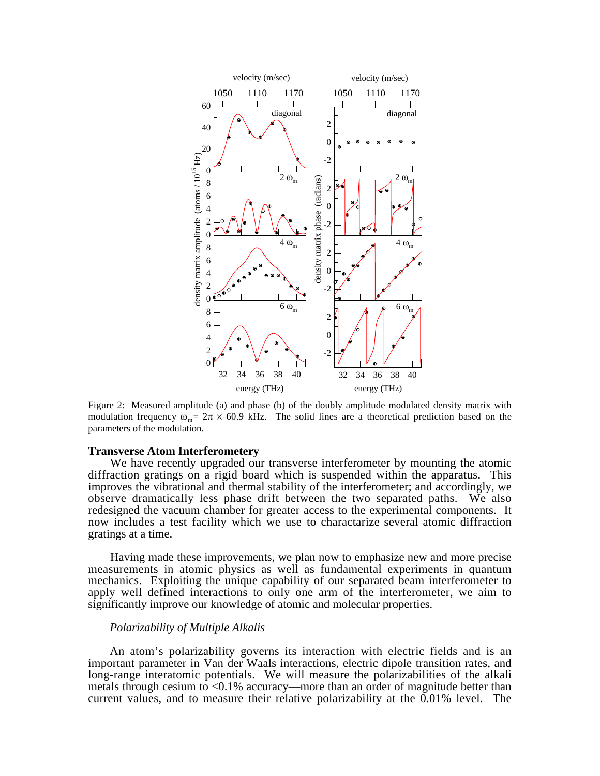

Figure 2: Measured amplitude (a) and phase (b) of the doubly amplitude modulated density matrix with modulation frequency  $\omega_{m}= 2\pi \times 60.9$  kHz. The solid lines are a theoretical prediction based on the parameters of the modulation.

#### **Transverse Atom Interferometery**

We have recently upgraded our transverse interferometer by mounting the atomic diffraction gratings on a rigid board which is suspended within the apparatus. This improves the vibrational and thermal stability of the interferometer; and accordingly, we observe dramatically less phase drift between the two separated paths. We also redesigned the vacuum chamber for greater access to the experimental components. It now includes a test facility which we use to charactarize several atomic diffraction gratings at a time.

 Having made these improvements, we plan now to emphasize new and more precise measurements in atomic physics as well as fundamental experiments in quantum mechanics. Exploiting the unique capability of our separated beam interferometer to apply well defined interactions to only one arm of the interferometer, we aim to significantly improve our knowledge of atomic and molecular properties.

### *Polarizability of Multiple Alkalis*

An atom's polarizability governs its interaction with electric fields and is an important parameter in Van der Waals interactions, electric dipole transition rates, and long-range interatomic potentials. We will measure the polarizabilities of the alkali metals through cesium to  $\langle 0.1\%$  accuracy—more than an order of magnitude better than current values, and to measure their relative polarizability at the 0.01% level. The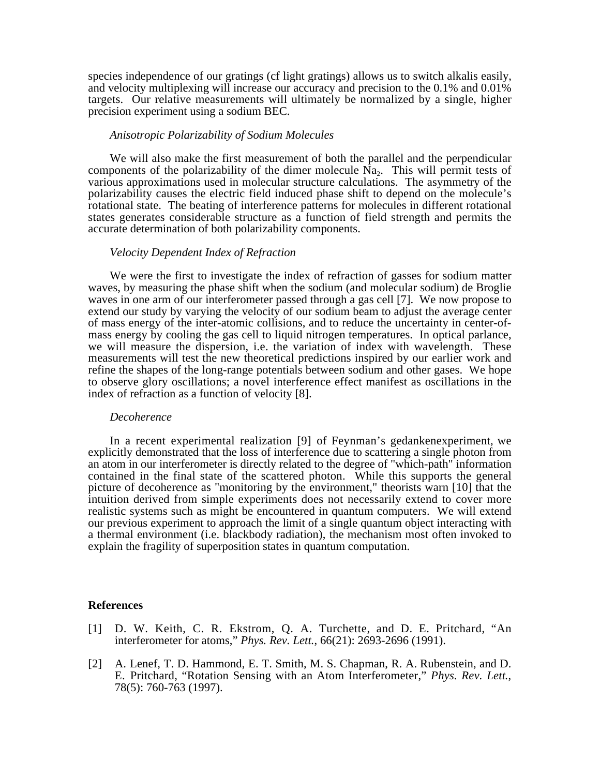species independence of our gratings (cf light gratings) allows us to switch alkalis easily, and velocity multiplexing will increase our accuracy and precision to the 0.1% and 0.01% targets. Our relative measurements will ultimately be normalized by a single, higher precision experiment using a sodium BEC.

## *Anisotropic Polarizability of Sodium Molecules*

We will also make the first measurement of both the parallel and the perpendicular components of the polarizability of the dimer molecule  $\tilde{N}a_2$ . This will permit tests of various approximations used in molecular structure calculations. The asymmetry of the polarizability causes the electric field induced phase shift to depend on the molecule's rotational state. The beating of interference patterns for molecules in different rotational states generates considerable structure as a function of field strength and permits the accurate determination of both polarizability components.

# *Velocity Dependent Index of Refraction*

We were the first to investigate the index of refraction of gasses for sodium matter waves, by measuring the phase shift when the sodium (and molecular sodium) de Broglie waves in one arm of our interferometer passed through a gas cell [7]. We now propose to extend our study by varying the velocity of our sodium beam to adjust the average center of mass energy of the inter-atomic collisions, and to reduce the uncertainty in center-ofmass energy by cooling the gas cell to liquid nitrogen temperatures. In optical parlance, we will measure the dispersion, i.e. the variation of index with wavelength. These measurements will test the new theoretical predictions inspired by our earlier work and refine the shapes of the long-range potentials between sodium and other gases. We hope to observe glory oscillations; a novel interference effect manifest as oscillations in the index of refraction as a function of velocity [8].

#### *Decoherence*

In a recent experimental realization [9] of Feynman's gedankenexperiment, we explicitly demonstrated that the loss of interference due to scattering a single photon from an atom in our interferometer is directly related to the degree of "which-path" information contained in the final state of the scattered photon. While this supports the general picture of decoherence as "monitoring by the environment," theorists warn [10] that the intuition derived from simple experiments does not necessarily extend to cover more realistic systems such as might be encountered in quantum computers. We will extend our previous experiment to approach the limit of a single quantum object interacting with a thermal environment (i.e. blackbody radiation), the mechanism most often invoked to explain the fragility of superposition states in quantum computation.

### **References**

- [1] D. W. Keith, C. R. Ekstrom, Q. A. Turchette, and D. E. Pritchard, "An interferometer for atoms," *Phys. Rev. Lett.*, 66(21): 2693-2696 (1991).
- [2] A. Lenef, T. D. Hammond, E. T. Smith, M. S. Chapman, R. A. Rubenstein, and D. E. Pritchard, "Rotation Sensing with an Atom Interferometer," *Phys. Rev. Lett.*, 78(5): 760-763 (1997).